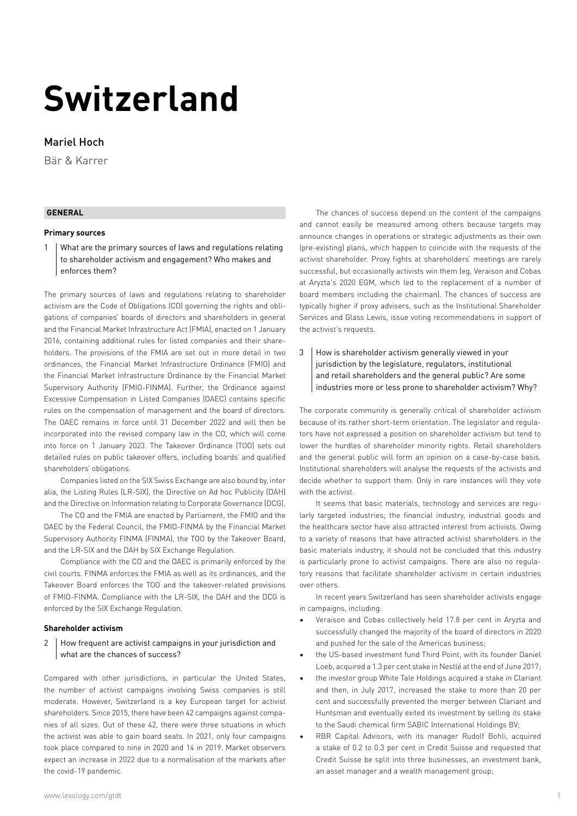# **Switzerland**

# Mariel Hoch

Bär & Karrer

# **GENERAL**

#### **Primary sources**

1 What are the primary sources of laws and regulations relating to shareholder activism and engagement? Who makes and enforces them?

The primary sources of laws and regulations relating to shareholder activism are the Code of Obligations (CO) governing the rights and obligations of companies' boards of directors and shareholders in general and the Financial Market Infrastructure Act (FMIA), enacted on 1 January 2016, containing additional rules for listed companies and their shareholders. The provisions of the FMIA are set out in more detail in two ordinances, the Financial Market Infrastructure Ordinance (FMIO) and the Financial Market Infrastructure Ordinance by the Financial Market Supervisory Authority (FMIO-FINMA). Further, the Ordinance against Excessive Compensation in Listed Companies (OAEC) contains specific rules on the compensation of management and the board of directors. The OAEC remains in force until 31 December 2022 and will then be incorporated into the revised company law in the CO, which will come into force on 1 January 2023. The Takeover Ordinance (TOO) sets out detailed rules on public takeover offers, including boards' and qualified shareholders' obligations.

Companies listed on the SIX Swiss Exchange are also bound by, inter alia, the Listing Rules (LR-SIX), the Directive on Ad hoc Publicity (DAH) and the Directive on Information relating to Corporate Governance (DCG).

The CO and the FMIA are enacted by Parliament, the FMIO and the OAEC by the Federal Council, the FMIO-FINMA by the Financial Market Supervisory Authority FINMA (FINMA), the TOO by the Takeover Board, and the LR-SIX and the DAH by SIX Exchange Regulation.

Compliance with the CO and the OAEC is primarily enforced by the civil courts. FINMA enforces the FMIA as well as its ordinances, and the Takeover Board enforces the TOO and the takeover-related provisions of FMIO-FINMA. Compliance with the LR-SIX, the DAH and the DCG is enforced by the SIX Exchange Regulation.

#### **Shareholder activism**

2 | How frequent are activist campaigns in your jurisdiction and what are the chances of success?

Compared with other jurisdictions, in particular the United States, the number of activist campaigns involving Swiss companies is still moderate. However, Switzerland is a key European target for activist shareholders. Since 2015, there have been 42 campaigns against companies of all sizes. Out of these 42, there were three situations in which the activist was able to gain board seats. In 2021, only four campaigns took place compared to nine in 2020 and 14 in 2019. Market observers expect an increase in 2022 due to a normalisation of the markets after the covid-19 pandemic.

The chances of success depend on the content of the campaigns and cannot easily be measured among others because targets may announce changes in operations or strategic adjustments as their own (pre-existing) plans, which happen to coincide with the requests of the activist shareholder. Proxy fights at shareholders' meetings are rarely successful, but occasionally activists win them (eg, Veraison and Cobas at Aryzta's 2020 EGM, which led to the replacement of a number of board members including the chairman). The chances of success are typically higher if proxy advisers, such as the Institutional Shareholder Services and Glass Lewis, issue voting recommendations in support of the activist's requests.

# 3 How is shareholder activism generally viewed in your jurisdiction by the legislature, regulators, institutional and retail shareholders and the general public? Are some industries more or less prone to shareholder activism? Why?

The corporate community is generally critical of shareholder activism because of its rather short-term orientation. The legislator and regulators have not expressed a position on shareholder activism but tend to lower the hurdles of shareholder minority rights. Retail shareholders and the general public will form an opinion on a case-by-case basis. Institutional shareholders will analyse the requests of the activists and decide whether to support them. Only in rare instances will they vote with the activist.

It seems that basic materials, technology and services are regularly targeted industries; the financial industry, industrial goods and the healthcare sector have also attracted interest from activists. Owing to a variety of reasons that have attracted activist shareholders in the basic materials industry, it should not be concluded that this industry is particularly prone to activist campaigns. There are also no regulatory reasons that facilitate shareholder activism in certain industries over others.

In recent years Switzerland has seen shareholder activists engage in campaigns, including:

- Veraison and Cobas collectively held 17.8 per cent in Aryzta and successfully changed the majority of the board of directors in 2020 and pushed for the sale of the Americas business;
- the US-based investment fund Third Point, with its founder Daniel Loeb, acquired a 1.3 per cent stake in Nestlé at the end of June 2017;
- the investor group White Tale Holdings acquired a stake in Clariant and then, in July 2017, increased the stake to more than 20 per cent and successfully prevented the merger between Clariant and Huntsman and eventually exited its investment by selling its stake to the Saudi chemical firm SABIC International Holdings BV;
- RBR Capital Advisors, with its manager Rudolf Bohli, acquired a stake of 0.2 to 0.3 per cent in Credit Suisse and requested that Credit Suisse be split into three businesses, an investment bank, an asset manager and a wealth management group;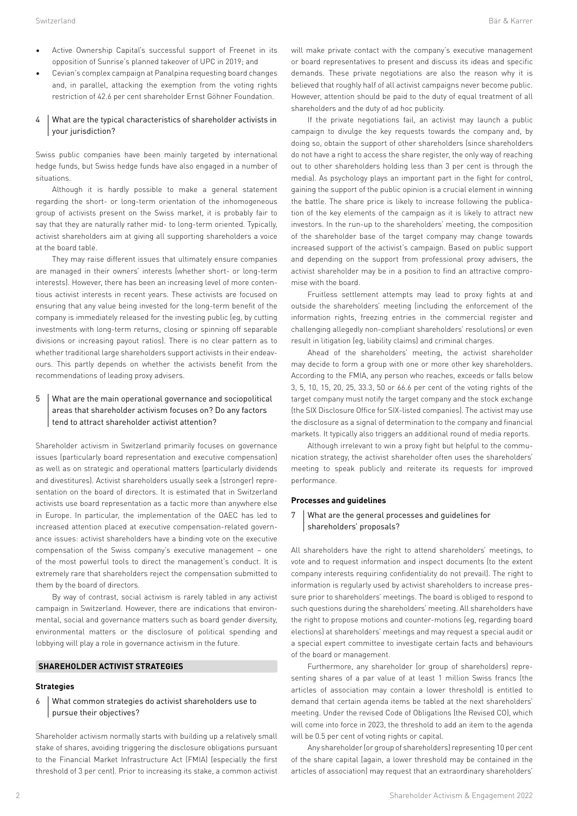- Active Ownership Capital's successful support of Freenet in its opposition of Sunrise's planned takeover of UPC in 2019; and
- Cevian's complex campaign at Panalpina requesting board changes and, in parallel, attacking the exemption from the voting rights restriction of 42.6 per cent shareholder Ernst Göhner Foundation.

### 4 What are the typical characteristics of shareholder activists in your jurisdiction?

Swiss public companies have been mainly targeted by international hedge funds, but Swiss hedge funds have also engaged in a number of situations.

Although it is hardly possible to make a general statement regarding the short- or long-term orientation of the inhomogeneous group of activists present on the Swiss market, it is probably fair to say that they are naturally rather mid- to long-term oriented. Typically, activist shareholders aim at giving all supporting shareholders a voice at the board table.

They may raise different issues that ultimately ensure companies are managed in their owners' interests (whether short- or long-term interests). However, there has been an increasing level of more contentious activist interests in recent years. These activists are focused on ensuring that any value being invested for the long-term benefit of the company is immediately released for the investing public (eg, by cutting investments with long-term returns, closing or spinning off separable divisions or increasing payout ratios). There is no clear pattern as to whether traditional large shareholders support activists in their endeavours. This partly depends on whether the activists benefit from the recommendations of leading proxy advisers.

# 5 What are the main operational governance and sociopolitical areas that shareholder activism focuses on? Do any factors tend to attract shareholder activist attention?

Shareholder activism in Switzerland primarily focuses on governance issues (particularly board representation and executive compensation) as well as on strategic and operational matters (particularly dividends and divestitures). Activist shareholders usually seek a (stronger) representation on the board of directors. It is estimated that in Switzerland activists use board representation as a tactic more than anywhere else in Europe. In particular, the implementation of the OAEC has led to increased attention placed at executive compensation-related governance issues: activist shareholders have a binding vote on the executive compensation of the Swiss company's executive management – one of the most powerful tools to direct the management's conduct. It is extremely rare that shareholders reject the compensation submitted to them by the board of directors.

By way of contrast, social activism is rarely tabled in any activist campaign in Switzerland. However, there are indications that environmental, social and governance matters such as board gender diversity, environmental matters or the disclosure of political spending and lobbying will play a role in governance activism in the future.

#### **SHAREHOLDER ACTIVIST STRATEGIES**

#### **Strategies**

6 What common strategies do activist shareholders use to pursue their objectives?

Shareholder activism normally starts with building up a relatively small stake of shares, avoiding triggering the disclosure obligations pursuant to the Financial Market Infrastructure Act (FMIA) (especially the first threshold of 3 per cent). Prior to increasing its stake, a common activist will make private contact with the company's executive management or board representatives to present and discuss its ideas and specific demands. These private negotiations are also the reason why it is believed that roughly half of all activist campaigns never become public. However, attention should be paid to the duty of equal treatment of all shareholders and the duty of ad hoc publicity.

If the private negotiations fail, an activist may launch a public campaign to divulge the key requests towards the company and, by doing so, obtain the support of other shareholders (since shareholders do not have a right to access the share register, the only way of reaching out to other shareholders holding less than 3 per cent is through the media). As psychology plays an important part in the fight for control, gaining the support of the public opinion is a crucial element in winning the battle. The share price is likely to increase following the publication of the key elements of the campaign as it is likely to attract new investors. In the run-up to the shareholders' meeting, the composition of the shareholder base of the target company may change towards increased support of the activist's campaign. Based on public support and depending on the support from professional proxy advisers, the activist shareholder may be in a position to find an attractive compromise with the board.

Fruitless settlement attempts may lead to proxy fights at and outside the shareholders' meeting (including the enforcement of the information rights, freezing entries in the commercial register and challenging allegedly non-compliant shareholders' resolutions) or even result in litigation (eg, liability claims) and criminal charges.

Ahead of the shareholders' meeting, the activist shareholder may decide to form a group with one or more other key shareholders. According to the FMIA, any person who reaches, exceeds or falls below 3, 5, 10, 15, 20, 25, 33.3, 50 or 66.6 per cent of the voting rights of the target company must notify the target company and the stock exchange (the SIX Disclosure Office for SIX-listed companies). The activist may use the disclosure as a signal of determination to the company and financial markets. It typically also triggers an additional round of media reports.

Although irrelevant to win a proxy fight but helpful to the communication strategy, the activist shareholder often uses the shareholders' meeting to speak publicly and reiterate its requests for improved performance.

#### **Processes and guidelines**

# 7 What are the general processes and guidelines for shareholders' proposals?

All shareholders have the right to attend shareholders' meetings, to vote and to request information and inspect documents (to the extent company interests requiring confidentiality do not prevail). The right to information is regularly used by activist shareholders to increase pressure prior to shareholders' meetings. The board is obliged to respond to such questions during the shareholders' meeting. All shareholders have the right to propose motions and counter-motions (eg, regarding board elections) at shareholders' meetings and may request a special audit or a special expert committee to investigate certain facts and behaviours of the board or management.

Furthermore, any shareholder (or group of shareholders) representing shares of a par value of at least 1 million Swiss francs (the articles of association may contain a lower threshold) is entitled to demand that certain agenda items be tabled at the next shareholders' meeting. Under the revised Code of Obligations (the Revised CO), which will come into force in 2023, the threshold to add an item to the agenda will be 0.5 per cent of voting rights or capital.

Any shareholder (or group of shareholders) representing 10 per cent of the share capital (again, a lower threshold may be contained in the articles of association) may request that an extraordinary shareholders'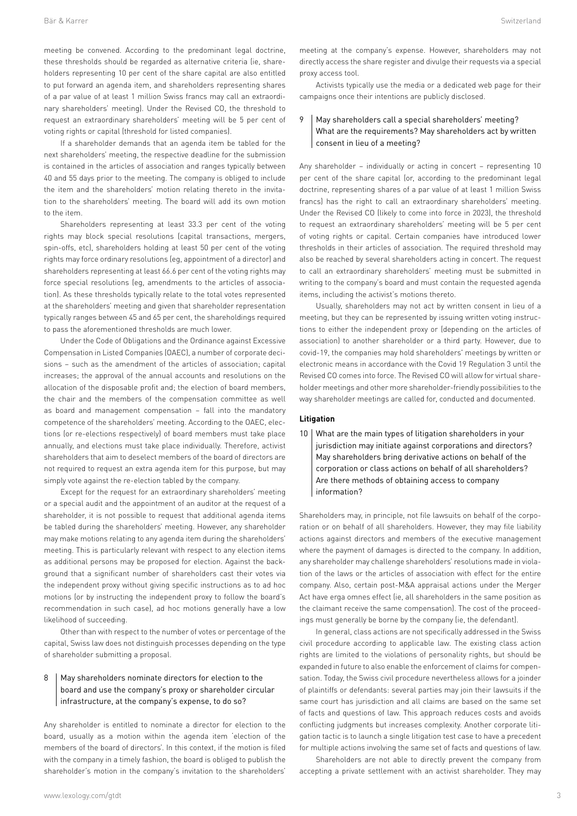meeting be convened. According to the predominant legal doctrine, these thresholds should be regarded as alternative criteria (ie, shareholders representing 10 per cent of the share capital are also entitled to put forward an agenda item, and shareholders representing shares of a par value of at least 1 million Swiss francs may call an extraordinary shareholders' meeting). Under the Revised CO, the threshold to request an extraordinary shareholders' meeting will be 5 per cent of voting rights or capital (threshold for listed companies).

If a shareholder demands that an agenda item be tabled for the next shareholders' meeting, the respective deadline for the submission is contained in the articles of association and ranges typically between 40 and 55 days prior to the meeting. The company is obliged to include the item and the shareholders' motion relating thereto in the invitation to the shareholders' meeting. The board will add its own motion to the item.

Shareholders representing at least 33.3 per cent of the voting rights may block special resolutions (capital transactions, mergers, spin-offs, etc), shareholders holding at least 50 per cent of the voting rights may force ordinary resolutions (eg, appointment of a director) and shareholders representing at least 66.6 per cent of the voting rights may force special resolutions (eg, amendments to the articles of association). As these thresholds typically relate to the total votes represented at the shareholders' meeting and given that shareholder representation typically ranges between 45 and 65 per cent, the shareholdings required to pass the aforementioned thresholds are much lower.

Under the Code of Obligations and the Ordinance against Excessive Compensation in Listed Companies (OAEC), a number of corporate decisions – such as the amendment of the articles of association; capital increases; the approval of the annual accounts and resolutions on the allocation of the disposable profit and; the election of board members, the chair and the members of the compensation committee as well as board and management compensation – fall into the mandatory competence of the shareholders' meeting. According to the OAEC, elections (or re-elections respectively) of board members must take place annually, and elections must take place individually. Therefore, activist shareholders that aim to deselect members of the board of directors are not required to request an extra agenda item for this purpose, but may simply vote against the re-election tabled by the company.

Except for the request for an extraordinary shareholders' meeting or a special audit and the appointment of an auditor at the request of a shareholder, it is not possible to request that additional agenda items be tabled during the shareholders' meeting. However, any shareholder may make motions relating to any agenda item during the shareholders' meeting. This is particularly relevant with respect to any election items as additional persons may be proposed for election. Against the background that a significant number of shareholders cast their votes via the independent proxy without giving specific instructions as to ad hoc motions (or by instructing the independent proxy to follow the board's recommendation in such case), ad hoc motions generally have a low likelihood of succeeding.

Other than with respect to the number of votes or percentage of the capital, Swiss law does not distinguish processes depending on the type of shareholder submitting a proposal.

# 8 | May shareholders nominate directors for election to the board and use the company's proxy or shareholder circular infrastructure, at the company's expense, to do so?

Any shareholder is entitled to nominate a director for election to the board, usually as a motion within the agenda item 'election of the members of the board of directors'. In this context, if the motion is filed with the company in a timely fashion, the board is obliged to publish the shareholder's motion in the company's invitation to the shareholders'

meeting at the company's expense. However, shareholders may not directly access the share register and divulge their requests via a special proxy access tool.

Activists typically use the media or a dedicated web page for their campaigns once their intentions are publicly disclosed.

# 9 | May shareholders call a special shareholders' meeting? What are the requirements? May shareholders act by written consent in lieu of a meeting?

Any shareholder – individually or acting in concert – representing 10 per cent of the share capital (or, according to the predominant legal doctrine, representing shares of a par value of at least 1 million Swiss francs) has the right to call an extraordinary shareholders' meeting. Under the Revised CO (likely to come into force in 2023), the threshold to request an extraordinary shareholders' meeting will be 5 per cent of voting rights or capital. Certain companies have introduced lower thresholds in their articles of association. The required threshold may also be reached by several shareholders acting in concert. The request to call an extraordinary shareholders' meeting must be submitted in writing to the company's board and must contain the requested agenda items, including the activist's motions thereto.

Usually, shareholders may not act by written consent in lieu of a meeting, but they can be represented by issuing written voting instructions to either the independent proxy or (depending on the articles of association) to another shareholder or a third party. However, due to covid-19, the companies may hold shareholders' meetings by written or electronic means in accordance with the Covid 19 Regulation 3 until the Revised CO comes into force. The Revised CO will allow for virtual shareholder meetings and other more shareholder-friendly possibilities to the way shareholder meetings are called for, conducted and documented.

# **Litigation**

10 What are the main types of litigation shareholders in your jurisdiction may initiate against corporations and directors? May shareholders bring derivative actions on behalf of the corporation or class actions on behalf of all shareholders? Are there methods of obtaining access to company information?

Shareholders may, in principle, not file lawsuits on behalf of the corporation or on behalf of all shareholders. However, they may file liability actions against directors and members of the executive management where the payment of damages is directed to the company. In addition, any shareholder may challenge shareholders' resolutions made in violation of the laws or the articles of association with effect for the entire company. Also, certain post-M&A appraisal actions under the Merger Act have erga omnes effect (ie, all shareholders in the same position as the claimant receive the same compensation). The cost of the proceedings must generally be borne by the company (ie, the defendant).

In general, class actions are not specifically addressed in the Swiss civil procedure according to applicable law. The existing class action rights are limited to the violations of personality rights, but should be expanded in future to also enable the enforcement of claims for compensation. Today, the Swiss civil procedure nevertheless allows for a joinder of plaintiffs or defendants: several parties may join their lawsuits if the same court has jurisdiction and all claims are based on the same set of facts and questions of law. This approach reduces costs and avoids conflicting judgments but increases complexity. Another corporate litigation tactic is to launch a single litigation test case to have a precedent for multiple actions involving the same set of facts and questions of law.

Shareholders are not able to directly prevent the company from accepting a private settlement with an activist shareholder. They may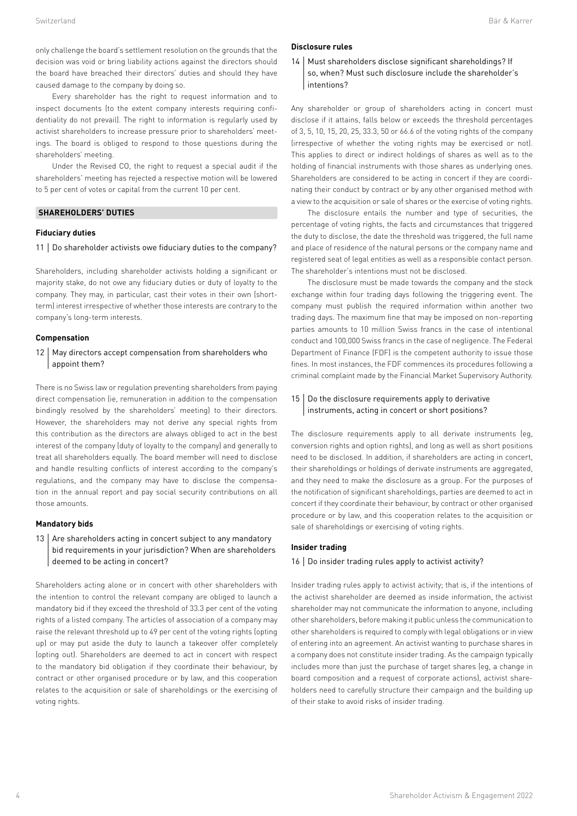only challenge the board's settlement resolution on the grounds that the decision was void or bring liability actions against the directors should the board have breached their directors' duties and should they have caused damage to the company by doing so.

Every shareholder has the right to request information and to inspect documents (to the extent company interests requiring confidentiality do not prevail). The right to information is regularly used by activist shareholders to increase pressure prior to shareholders' meetings. The board is obliged to respond to those questions during the shareholders' meeting.

Under the Revised CO, the right to request a special audit if the shareholders' meeting has rejected a respective motion will be lowered to 5 per cent of votes or capital from the current 10 per cent.

#### **SHAREHOLDERS' DUTIES**

#### **Fiduciary duties**

#### 11 | Do shareholder activists owe fiduciary duties to the company?

Shareholders, including shareholder activists holding a significant or majority stake, do not owe any fiduciary duties or duty of loyalty to the company. They may, in particular, cast their votes in their own (shortterm) interest irrespective of whether those interests are contrary to the company's long-term interests.

# **Compensation**

# 12 May directors accept compensation from shareholders who appoint them?

There is no Swiss law or regulation preventing shareholders from paying direct compensation (ie, remuneration in addition to the compensation bindingly resolved by the shareholders' meeting) to their directors. However, the shareholders may not derive any special rights from this contribution as the directors are always obliged to act in the best interest of the company (duty of loyalty to the company) and generally to treat all shareholders equally. The board member will need to disclose and handle resulting conflicts of interest according to the company's regulations, and the company may have to disclose the compensation in the annual report and pay social security contributions on all those amounts.

# **Mandatory bids**

13  $\vert$  Are shareholders acting in concert subject to any mandatory bid requirements in your jurisdiction? When are shareholders deemed to be acting in concert?

Shareholders acting alone or in concert with other shareholders with the intention to control the relevant company are obliged to launch a mandatory bid if they exceed the threshold of 33.3 per cent of the voting rights of a listed company. The articles of association of a company may raise the relevant threshold up to 49 per cent of the voting rights (opting up) or may put aside the duty to launch a takeover offer completely (opting out). Shareholders are deemed to act in concert with respect to the mandatory bid obligation if they coordinate their behaviour, by contract or other organised procedure or by law, and this cooperation relates to the acquisition or sale of shareholdings or the exercising of voting rights.

#### **Disclosure rules**

14 | Must shareholders disclose significant shareholdings? If so, when? Must such disclosure include the shareholder's intentions?

Any shareholder or group of shareholders acting in concert must disclose if it attains, falls below or exceeds the threshold percentages of 3, 5, 10, 15, 20, 25, 33.3, 50 or 66.6 of the voting rights of the company (irrespective of whether the voting rights may be exercised or not). This applies to direct or indirect holdings of shares as well as to the holding of financial instruments with those shares as underlying ones. Shareholders are considered to be acting in concert if they are coordinating their conduct by contract or by any other organised method with a view to the acquisition or sale of shares or the exercise of voting rights.

The disclosure entails the number and type of securities, the percentage of voting rights, the facts and circumstances that triggered the duty to disclose, the date the threshold was triggered, the full name and place of residence of the natural persons or the company name and registered seat of legal entities as well as a responsible contact person. The shareholder's intentions must not be disclosed.

The disclosure must be made towards the company and the stock exchange within four trading days following the triggering event. The company must publish the required information within another two trading days. The maximum fine that may be imposed on non-reporting parties amounts to 10 million Swiss francs in the case of intentional conduct and 100,000 Swiss francs in the case of negligence. The Federal Department of Finance (FDF) is the competent authority to issue those fines. In most instances, the FDF commences its procedures following a criminal complaint made by the Financial Market Supervisory Authority.

# 15 | Do the disclosure requirements apply to derivative instruments, acting in concert or short positions?

The disclosure requirements apply to all derivate instruments (eg, conversion rights and option rights), and long as well as short positions need to be disclosed. In addition, if shareholders are acting in concert, their shareholdings or holdings of derivate instruments are aggregated, and they need to make the disclosure as a group. For the purposes of the notification of significant shareholdings, parties are deemed to act in concert if they coordinate their behaviour, by contract or other organised procedure or by law, and this cooperation relates to the acquisition or sale of shareholdings or exercising of voting rights.

# **Insider trading**

#### 16 | Do insider trading rules apply to activist activity?

Insider trading rules apply to activist activity; that is, if the intentions of the activist shareholder are deemed as inside information, the activist shareholder may not communicate the information to anyone, including other shareholders, before making it public unless the communication to other shareholders is required to comply with legal obligations or in view of entering into an agreement. An activist wanting to purchase shares in a company does not constitute insider trading. As the campaign typically includes more than just the purchase of target shares (eg, a change in board composition and a request of corporate actions), activist shareholders need to carefully structure their campaign and the building up of their stake to avoid risks of insider trading.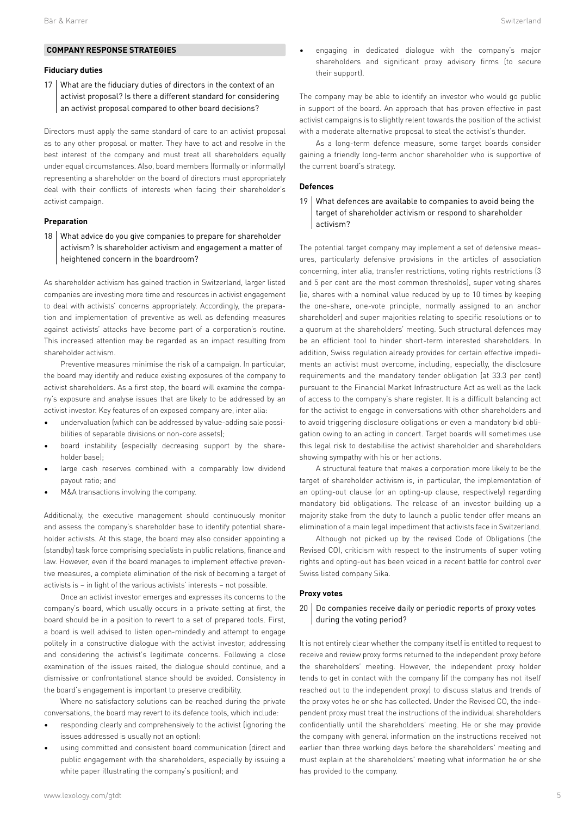# **Fiduciary duties**

17 What are the fiduciary duties of directors in the context of an activist proposal? Is there a different standard for considering an activist proposal compared to other board decisions?

Directors must apply the same standard of care to an activist proposal as to any other proposal or matter. They have to act and resolve in the best interest of the company and must treat all shareholders equally under equal circumstances. Also, board members (formally or informally) representing a shareholder on the board of directors must appropriately deal with their conflicts of interests when facing their shareholder's activist campaign.

#### **Preparation**

18 What advice do you give companies to prepare for shareholder activism? Is shareholder activism and engagement a matter of heightened concern in the boardroom?

As shareholder activism has gained traction in Switzerland, larger listed companies are investing more time and resources in activist engagement to deal with activists' concerns appropriately. Accordingly, the preparation and implementation of preventive as well as defending measures against activists' attacks have become part of a corporation's routine. This increased attention may be regarded as an impact resulting from shareholder activism.

Preventive measures minimise the risk of a campaign. In particular, the board may identify and reduce existing exposures of the company to activist shareholders. As a first step, the board will examine the company's exposure and analyse issues that are likely to be addressed by an activist investor. Key features of an exposed company are, inter alia:

- undervaluation (which can be addressed by value-adding sale possibilities of separable divisions or non-core assets);
- board instability (especially decreasing support by the shareholder base);
- large cash reserves combined with a comparably low dividend payout ratio; and
- M&A transactions involving the company.

Additionally, the executive management should continuously monitor and assess the company's shareholder base to identify potential shareholder activists. At this stage, the board may also consider appointing a (standby) task force comprising specialists in public relations, finance and law. However, even if the board manages to implement effective preventive measures, a complete elimination of the risk of becoming a target of activists is – in light of the various activists' interests – not possible.

Once an activist investor emerges and expresses its concerns to the company's board, which usually occurs in a private setting at first, the board should be in a position to revert to a set of prepared tools. First, a board is well advised to listen open-mindedly and attempt to engage politely in a constructive dialogue with the activist investor, addressing and considering the activist's legitimate concerns. Following a close examination of the issues raised, the dialogue should continue, and a dismissive or confrontational stance should be avoided. Consistency in the board's engagement is important to preserve credibility.

Where no satisfactory solutions can be reached during the private conversations, the board may revert to its defence tools, which include:

- responding clearly and comprehensively to the activist (ignoring the issues addressed is usually not an option):
- using committed and consistent board communication (direct and public engagement with the shareholders, especially by issuing a white paper illustrating the company's position); and

• engaging in dedicated dialogue with the company's major shareholders and significant proxy advisory firms (to secure their support).

The company may be able to identify an investor who would go public in support of the board. An approach that has proven effective in past activist campaigns is to slightly relent towards the position of the activist with a moderate alternative proposal to steal the activist's thunder.

As a long-term defence measure, some target boards consider gaining a friendly long-term anchor shareholder who is supportive of the current board's strategy.

#### **Defences**

19 What defences are available to companies to avoid being the target of shareholder activism or respond to shareholder activism?

The potential target company may implement a set of defensive measures, particularly defensive provisions in the articles of association concerning, inter alia, transfer restrictions, voting rights restrictions (3 and 5 per cent are the most common thresholds), super voting shares (ie, shares with a nominal value reduced by up to 10 times by keeping the one-share, one-vote principle, normally assigned to an anchor shareholder) and super majorities relating to specific resolutions or to a quorum at the shareholders' meeting. Such structural defences may be an efficient tool to hinder short-term interested shareholders. In addition, Swiss regulation already provides for certain effective impediments an activist must overcome, including, especially, the disclosure requirements and the mandatory tender obligation (at 33.3 per cent) pursuant to the Financial Market Infrastructure Act as well as the lack of access to the company's share register. It is a difficult balancing act for the activist to engage in conversations with other shareholders and to avoid triggering disclosure obligations or even a mandatory bid obligation owing to an acting in concert. Target boards will sometimes use this legal risk to destabilise the activist shareholder and shareholders showing sympathy with his or her actions.

A structural feature that makes a corporation more likely to be the target of shareholder activism is, in particular, the implementation of an opting-out clause (or an opting-up clause, respectively) regarding mandatory bid obligations. The release of an investor building up a majority stake from the duty to launch a public tender offer means an elimination of a main legal impediment that activists face in Switzerland.

Although not picked up by the revised Code of Obligations (the Revised CO), criticism with respect to the instruments of super voting rights and opting-out has been voiced in a recent battle for control over Swiss listed company Sika.

### **Proxy votes**

# 20 | Do companies receive daily or periodic reports of proxy votes during the voting period?

It is not entirely clear whether the company itself is entitled to request to receive and review proxy forms returned to the independent proxy before the shareholders' meeting. However, the independent proxy holder tends to get in contact with the company (if the company has not itself reached out to the independent proxy) to discuss status and trends of the proxy votes he or she has collected. Under the Revised CO, the independent proxy must treat the instructions of the individual shareholders confidentially until the shareholders' meeting. He or she may provide the company with general information on the instructions received not earlier than three working days before the shareholders' meeting and must explain at the shareholders' meeting what information he or she has provided to the company.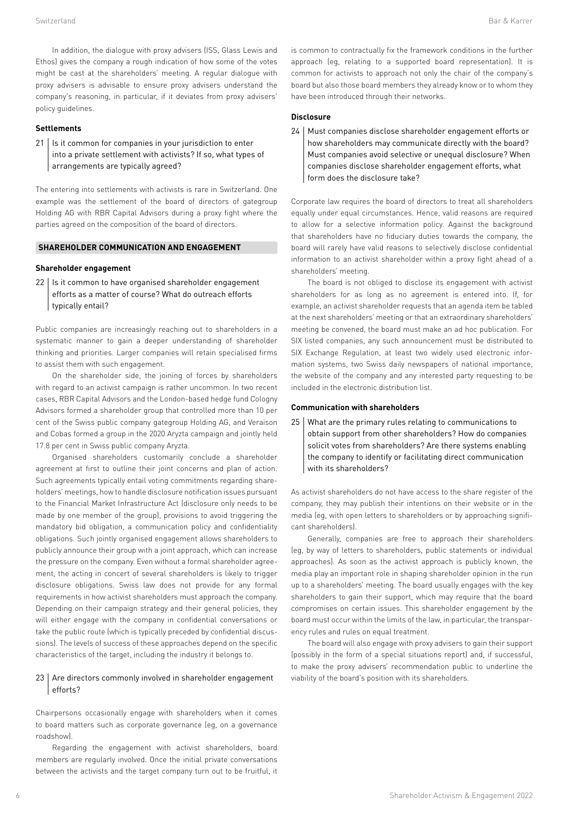In addition, the dialogue with proxy advisers (ISS, Glass Lewis and Ethos) gives the company a rough indication of how some of the votes might be cast at the shareholders' meeting. A regular dialogue with proxy advisers is advisable to ensure proxy advisers understand the company's reasoning, in particular, if it deviates from proxy advisers' policy guidelines.

#### **Settlements**

21 | Is it common for companies in your jurisdiction to enter into a private settlement with activists? If so, what types of arrangements are typically agreed?

The entering into settlements with activists is rare in Switzerland. One example was the settlement of the board of directors of gategroup Holding AG with RBR Capital Advisors during a proxy fight where the parties agreed on the composition of the board of directors.

#### **SHAREHOLDER COMMUNICATION AND ENGAGEMENT**

#### **Shareholder engagement**

22 | Is it common to have organised shareholder engagement efforts as a matter of course? What do outreach efforts typically entail?

Public companies are increasingly reaching out to shareholders in a systematic manner to gain a deeper understanding of shareholder thinking and priorities. Larger companies will retain specialised firms to assist them with such engagement.

On the shareholder side, the joining of forces by shareholders with regard to an activist campaign is rather uncommon. In two recent cases, RBR Capital Advisors and the London-based hedge fund Cologny Advisors formed a shareholder group that controlled more than 10 per cent of the Swiss public company gategroup Holding AG, and Veraison and Cobas formed a group in the 2020 Aryzta campaign and jointly held 17.8 per cent in Swiss public company Aryzta.

Organised shareholders customarily conclude a shareholder agreement at first to outline their joint concerns and plan of action. Such agreements typically entail voting commitments regarding shareholders' meetings, how to handle disclosure notification issues pursuant to the Financial Market Infrastructure Act (disclosure only needs to be made by one member of the group), provisions to avoid triggering the mandatory bid obligation, a communication policy and confidentiality obligations. Such jointly organised engagement allows shareholders to publicly announce their group with a joint approach, which can increase the pressure on the company. Even without a formal shareholder agreement, the acting in concert of several shareholders is likely to trigger disclosure obligations. Swiss law does not provide for any formal requirements in how activist shareholders must approach the company. Depending on their campaign strategy and their general policies, they will either engage with the company in confidential conversations or take the public route (which is typically preceded by confidential discussions). The levels of success of these approaches depend on the specific characteristics of the target, including the industry it belongs to.

# 23 | Are directors commonly involved in shareholder engagement efforts?

Chairpersons occasionally engage with shareholders when it comes to board matters such as corporate governance (eg, on a governance roadshow).

Regarding the engagement with activist shareholders, board members are regularly involved. Once the initial private conversations between the activists and the target company turn out to be fruitful, it

is common to contractually fix the framework conditions in the further approach (eg, relating to a supported board representation). It is common for activists to approach not only the chair of the company's board but also those board members they already know or to whom they have been introduced through their networks.

# **Disclosure**

24 | Must companies disclose shareholder engagement efforts or how shareholders may communicate directly with the board? Must companies avoid selective or unequal disclosure? When companies disclose shareholder engagement efforts, what form does the disclosure take?

Corporate law requires the board of directors to treat all shareholders equally under equal circumstances. Hence, valid reasons are required to allow for a selective information policy. Against the background that shareholders have no fiduciary duties towards the company, the board will rarely have valid reasons to selectively disclose confidential information to an activist shareholder within a proxy fight ahead of a shareholders' meeting.

The board is not obliged to disclose its engagement with activist shareholders for as long as no agreement is entered into. If, for example, an activist shareholder requests that an agenda item be tabled at the next shareholders' meeting or that an extraordinary shareholders' meeting be convened, the board must make an ad hoc publication. For SIX listed companies, any such announcement must be distributed to SIX Exchange Regulation, at least two widely used electronic information systems, two Swiss daily newspapers of national importance, the website of the company and any interested party requesting to be included in the electronic distribution list.

#### **Communication with shareholders**

25 What are the primary rules relating to communications to obtain support from other shareholders? How do companies solicit votes from shareholders? Are there systems enabling the company to identify or facilitating direct communication with its shareholders?

As activist shareholders do not have access to the share register of the company, they may publish their intentions on their website or in the media (eg, with open letters to shareholders or by approaching significant shareholders).

Generally, companies are free to approach their shareholders (eg, by way of letters to shareholders, public statements or individual approaches). As soon as the activist approach is publicly known, the media play an important role in shaping shareholder opinion in the run up to a shareholders' meeting. The board usually engages with the key shareholders to gain their support, which may require that the board compromises on certain issues. This shareholder engagement by the board must occur within the limits of the law, in particular, the transparency rules and rules on equal treatment.

The board will also engage with proxy advisers to gain their support (possibly in the form of a special situations report) and, if successful, to make the proxy advisers' recommendation public to underline the viability of the board's position with its shareholders.